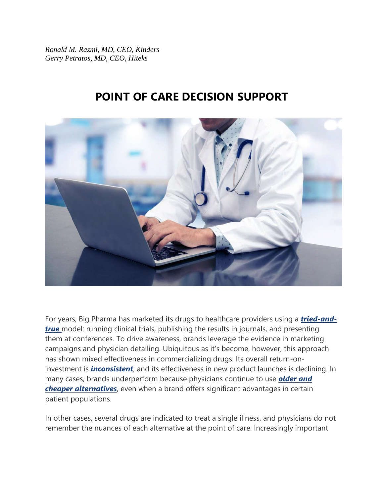*Ronald M. Razmi, MD, CEO, Kinders Gerry Petratos, MD, CEO, Hiteks*

## **POINT OF CARE DECISION SUPPORT**



For years, Big Pharma has marketed its drugs to healthcare providers using a *[tried-and](https://www.pewtrusts.org/en/research-and-analysis/fact-sheets/2013/11/11/persuading-the-prescribers-pharmaceutical-industry-marketing-and-its-influence-on-physicians-and-patients)***[true](https://www.pewtrusts.org/en/research-and-analysis/fact-sheets/2013/11/11/persuading-the-prescribers-pharmaceutical-industry-marketing-and-its-influence-on-physicians-and-patients)** model: running clinical trials, publishing the results in journals, and presenting them at conferences. To drive awareness, brands leverage the evidence in marketing campaigns and physician detailing. Ubiquitous as it's become, however, this approach has shown mixed effectiveness in commercializing drugs. Its overall return-oninvestment is *[inconsistent](https://www.researchgate.net/publication/263660990_Pharmaceutical_Detailing_Elasticities_A_Meta-Analysis)*, and its effectiveness in new product launches is declining. In many cases, brands underperform because physicians continue to use *[older and](https://accessiblemeds.org/resources/blog/2018-generic-drug-access-and-savings-report)  [cheaper alternatives](https://accessiblemeds.org/resources/blog/2018-generic-drug-access-and-savings-report)*, even when a brand offers significant advantages in certain patient populations.

In other cases, several drugs are indicated to treat a single illness, and physicians do not remember the nuances of each alternative at the point of care. Increasingly important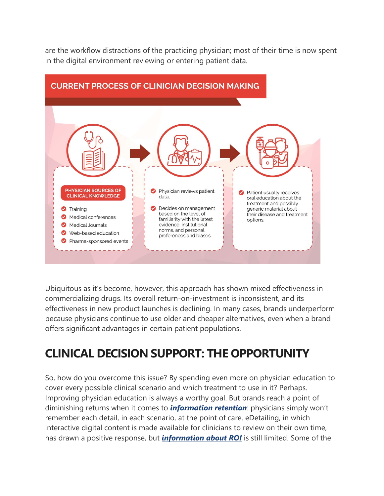are the workflow distractions of the practicing physician; most of their time is now spent in the digital environment reviewing or entering patient data.



Ubiquitous as it's become, however, this approach has shown mixed effectiveness in commercializing drugs. Its overall return-on-investment is inconsistent, and its effectiveness in new product launches is declining. In many cases, brands underperform because physicians continue to use older and cheaper alternatives, even when a brand offers significant advantages in certain patient populations.

## **CLINICAL DECISION SUPPORT: THE OPPORTUNITY**

So, how do you overcome this issue? By spending even more on physician education to cover every possible clinical scenario and which treatment to use in it? Perhaps. Improving physician education is always a worthy goal. But brands reach a point of diminishing returns when it comes to *[information retention](http://www.pharmexec.com/learning-retaining-applying-information-preparing-reps-success-field)*: physicians simply won't remember each detail, in each scenario, at the point of care. eDetailing, in which interactive digital content is made available for clinicians to review on their own time, has drawn a positive response, but *[information about ROI](https://pdfs.semanticscholar.org/ff7b/35c229cb431068ded36c687a47da872dfaa6.pdf)* is still limited. Some of the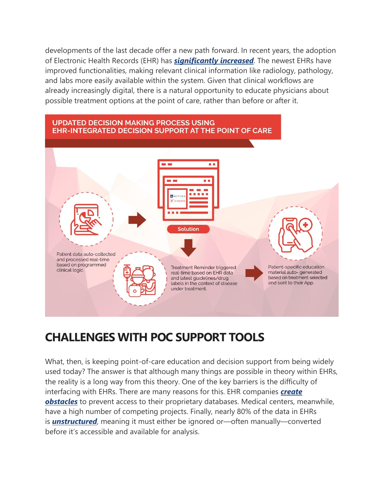developments of the last decade offer a new path forward. In recent years, the adoption of Electronic Health Records (EHR) has *[significantly increased](https://ehrintelligence.com/news/how-increasing-ehr-adoption-hie-use-fuels-healthcare-industry)*. The newest EHRs have improved functionalities, making relevant clinical information like radiology, pathology, and labs more easily available within the system. Given that clinical workflows are already increasingly digital, there is a natural opportunity to educate physicians about possible treatment options at the point of care, rather than before or after it.



# **CHALLENGES WITH POC SUPPORT TOOLS**

What, then, is keeping point-of-care education and decision support from being widely used today? The answer is that although many things are possible in theory within EHRs, the reality is a long way from this theory. One of the key barriers is the difficulty of interfacing with EHRs. There are many reasons for this. EHR companies *[create](https://www.healthcareitnews.com/news/why-ehr-data-interoperability-such-mess-3-charts)  [obstacles](https://www.healthcareitnews.com/news/why-ehr-data-interoperability-such-mess-3-charts)* to prevent access to their proprietary databases. Medical centers, meanwhile, have a high number of competing projects. Finally, nearly 80% of the data in EHRs is *[unstructured](https://artificial-intelligence.healthcaretechoutlook.com/cxoinsights/unstructured-data-in-healthcare-nid-506.html)*, meaning it must either be ignored or—often manually—converted before it's accessible and available for analysis.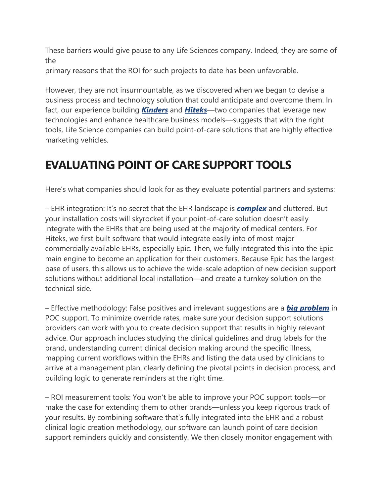These barriers would give pause to any Life Sciences company. Indeed, they are some of the

primary reasons that the ROI for such projects to date has been unfavorable.

However, they are not insurmountable, as we discovered when we began to devise a business process and technology solution that could anticipate and overcome them. In fact, our experience building *[Kinders](http://kindersco.com/)* and *[Hiteks](https://hiteks.com/)*—two companies that leverage new technologies and enhance healthcare business models—suggests that with the right tools, Life Science companies can build point-of-care solutions that are highly effective marketing vehicles.

## **EVALUATING POINT OF CARE SUPPORT TOOLS**

Here's what companies should look for as they evaluate potential partners and systems:

– EHR integration: It's no secret that the EHR landscape is *[complex](http://cliniciantoday.com/why-are-there-so-many-ehr-systems-analyzing-a-bloated-market/)* and cluttered. But your installation costs will skyrocket if your point-of-care solution doesn't easily integrate with the EHRs that are being used at the majority of medical centers. For Hiteks, we first built software that would integrate easily into of most major commercially available EHRs, especially Epic. Then, we fully integrated this into the Epic main engine to become an application for their customers. Because Epic has the largest base of users, this allows us to achieve the wide-scale adoption of new decision support solutions without additional local installation—and create a turnkey solution on the technical side.

– Effective methodology: False positives and irrelevant suggestions are a *[big problem](https://bmcmedinformdecismak.biomedcentral.com/articles/10.1186/s12911-017-0430-8)* in POC support. To minimize override rates, make sure your decision support solutions providers can work with you to create decision support that results in highly relevant advice. Our approach includes studying the clinical guidelines and drug labels for the brand, understanding current clinical decision making around the specific illness, mapping current workflows within the EHRs and listing the data used by clinicians to arrive at a management plan, clearly defining the pivotal points in decision process, and building logic to generate reminders at the right time.

– ROI measurement tools: You won't be able to improve your POC support tools—or make the case for extending them to other brands—unless you keep rigorous track of your results. By combining software that's fully integrated into the EHR and a robust clinical logic creation methodology, our software can launch point of care decision support reminders quickly and consistently. We then closely monitor engagement with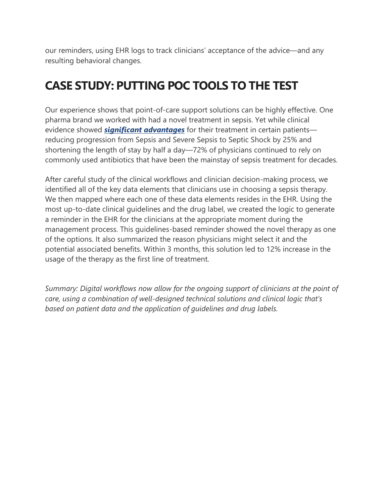our reminders, using EHR logs to track clinicians' acceptance of the advice—and any resulting behavioral changes.

# **CASE STUDY: PUTTING POC TOOLS TO THE TEST**

Our experience shows that point-of-care support solutions can be highly effective. One pharma brand we worked with had a novel treatment in sepsis. Yet while clinical evidence showed *[significant advantages](https://hiteks.com/VigilantQA/)* for their treatment in certain patients reducing progression from Sepsis and Severe Sepsis to Septic Shock by 25% and shortening the length of stay by half a day—72% of physicians continued to rely on commonly used antibiotics that have been the mainstay of sepsis treatment for decades.

After careful study of the clinical workflows and clinician decision-making process, we identified all of the key data elements that clinicians use in choosing a sepsis therapy. We then mapped where each one of these data elements resides in the EHR. Using the most up-to-date clinical guidelines and the drug label, we created the logic to generate a reminder in the EHR for the clinicians at the appropriate moment during the management process. This guidelines-based reminder showed the novel therapy as one of the options. It also summarized the reason physicians might select it and the potential associated benefits. Within 3 months, this solution led to 12% increase in the usage of the therapy as the first line of treatment.

*Summary: Digital workflows now allow for the ongoing support of clinicians at the point of care, using a combination of well-designed technical solutions and clinical logic that's based on patient data and the application of guidelines and drug labels.*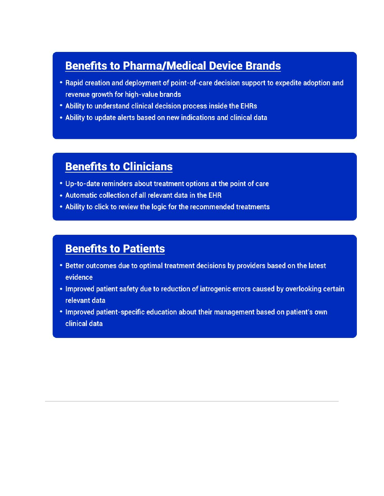### **Benefits to Pharma/Medical Device Brands**

- Rapid creation and deployment of point-of-care decision support to expedite adoption and revenue growth for high-value brands
- . Ability to understand clinical decision process inside the EHRs
- . Ability to update alerts based on new indications and clinical data

### **Benefits to Clinicians**

- . Up-to-date reminders about treatment options at the point of care
- . Automatic collection of all relevant data in the EHR
- . Ability to click to review the logic for the recommended treatments

### **Benefits to Patients**

- . Better outcomes due to optimal treatment decisions by providers based on the latest evidence
- . Improved patient safety due to reduction of iatrogenic errors caused by overlooking certain relevant data
- . Improved patient-specific education about their management based on patient's own clinical data